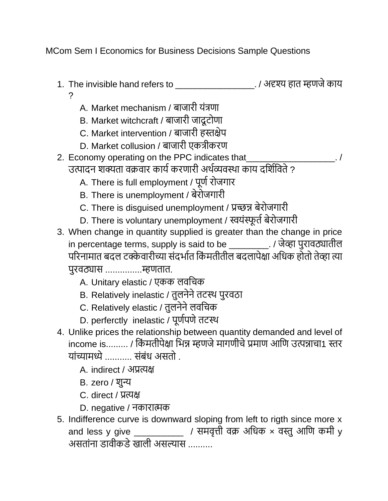MCom Sem I Economics for Business Decisions Sample Questions

- 1. The invisible hand refers to \_\_\_\_\_\_\_\_\_\_\_\_\_\_\_\_. / अदृश्य हात म्हणजेकाय ?
	- A. Market mechanism / बाजारी यंत्रणा
	- B. Market witchcraft / बाजारी जादू टोणा
	- C. Market intervention / बाजारी हस्तक्षेप
	- D. Market collusion / बाजारी एकत्रीकरण
- 2. Economy operating on the PPC indicates that उत्पादन शक्यता वक्रवार कार्य करणारी अर्थव्यवस्था काय दर्शिविते ?
	- A. There is full employment / पूर्ण रोजगार
	- B. There is unemployment / बेरोजगारी
	- C. There is disguised unemployment / प्रच्छन्न बेरोजगारी
	- D. There is voluntary unemployment / स्वयंस्फूर्त बेरोजगारी
- 3. When change in quantity supplied is greater than the change in price in percentage terms, supply is said to be \_\_\_\_\_\_\_\_. / जेव्हा पुरावठ्यातील परिनामात बदल टक्केवारीच्या संदर्भात किंमतीतील बदलापेक्षा अधिक होतो तेव्हा त्या पुरवठ्यास ...............म्हणतात.
	- A. Unitary elastic / एकक लवचिक
	- B. Relatively inelastic / तुलनेने तटस्थ पुरवठा
	- C. Relatively elastic / तुलनेने लवचिक
	- D. perferctly inelastic / पूर्णपणे तटस्थ
- 4. Unlike prices the relationship between quantity demanded and level of income is......... / किंमतीपेक्षा भिन्न म्हणजे मागणीचे प्रमाण आणि उत्पन्नाचा1 स्तर यांच्यामध्ये ........... संबंध असतो .
	- A. indirect / अप्रत्यक्ष
	- B. zero / शुन्य
	- C. direct / प्रत्यक्ष
	- D. negative / नकारात्मक
- 5. Indifference curve is downward sloping from left to rigth since more x and less y give \_\_\_\_\_\_\_\_\_\_\_\_ / समवृत्ती वक्र अधिक  $\times$  वस्तु आणि कमी y असतांना डावीकडे खाली असल्यास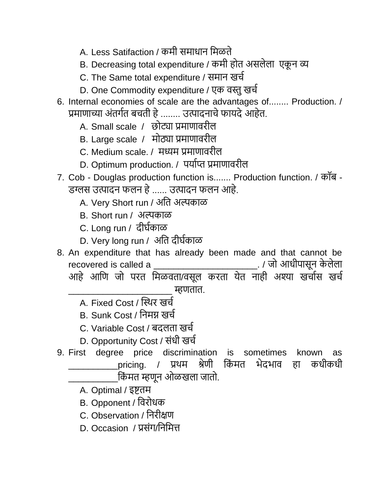- A. Less Satifaction / कमी समाधान मिळते
- B. Decreasing total expenditure / कमी होत असलेला एकून व्य
- C. The Same total expenditure / समान खिय
- D. One Commodity expenditure / एक वस्तु खर्च
- 6. Internal economies of scale are the advantages of........ Production. / प्रमाणाच्या अंतर्गत बचती हे ........ उत्पादनाचे फायदे आहेत.
	- A. Small scale / छोट्या प्रमाणावरील
	- B. Large scale / मोठ्या प्रमाणावरील
	- C. Medium scale. / मध्यम प्रमाणावरील
	- D. Optimum production. / पर्याप्त प्रमाणावरील
- 7. Cob Douglas production function is....... Production function. / कॉब डग्लस उत्पादन फलन हे...... उत्पादन फलन आहे.
	- A. Very Short run / अर्त अल्पकाळ
	- B. Short run / अल्पकाळ
	- C. Long run / दीर्यकाळ
	- D. Very long run / अर्त दीर्यकाळ
- 8. An expenditure that has already been made and that cannot be recovered is called a \_\_\_\_\_\_\_\_\_\_\_\_\_\_\_\_\_\_\_\_\_. / जो आिीपासून के लेला आहे आणि जो परत मिळवता/वसूल करता येत नाही अश्या खर्चास खर्च
	- \_\_\_\_\_\_\_\_\_\_\_\_\_\_\_\_\_\_\_\_\_ म्हणतात.
	- A. Fixed Cost / स्स्र्र खिय
	- B. Sunk Cost / र्नमग्न खिय
	- C. Variable Cost / बदलता खिय
	- D. Opportunity Cost / संधी खर्च
- 9. First degree price discrimination is sometimes known as \_pricing. / प्रथम श्रेणी र्किमत भेदभाव हा कधीकधी \_\_\_\_\_\_\_\_\_\_र्कं मत म्हणून ओळखला जातो.
	- A. Optimal / इष्टतम
	- B. Opponent / र्वरोिक
	- C. Observation / र्नरीक्षण
	- D. Occasion / प्रसंग/र्नर्मत्त